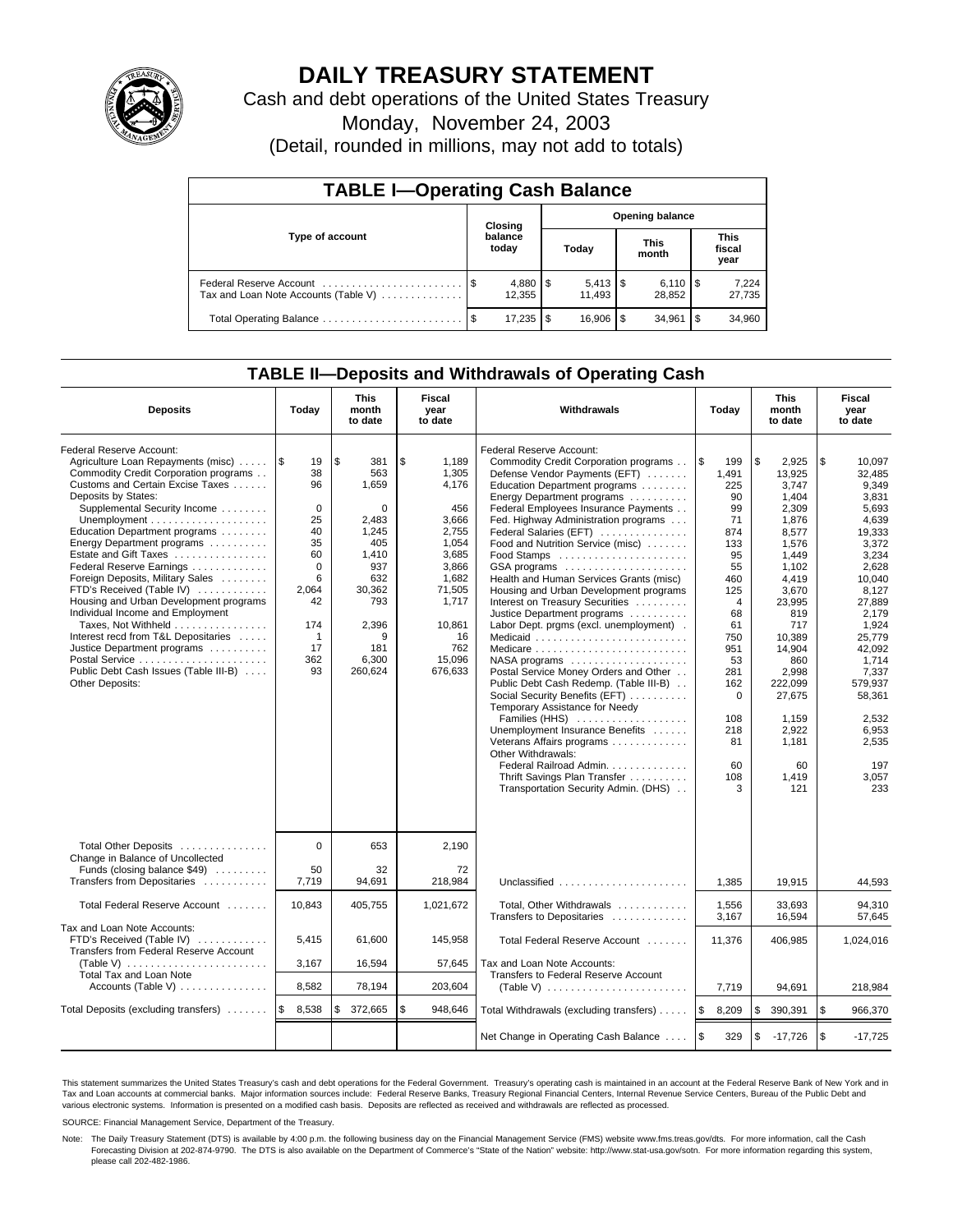

# **DAILY TREASURY STATEMENT**

Cash and debt operations of the United States Treasury

Monday, November 24, 2003

(Detail, rounded in millions, may not add to totals)

| <b>TABLE I-Operating Cash Balance</b> |                             |                          |                        |                              |                      |                              |                               |                 |  |
|---------------------------------------|-----------------------------|--------------------------|------------------------|------------------------------|----------------------|------------------------------|-------------------------------|-----------------|--|
|                                       | Closing<br>balance<br>today |                          | <b>Opening balance</b> |                              |                      |                              |                               |                 |  |
| Type of account                       |                             |                          | Today                  |                              | <b>This</b><br>month |                              | <b>This</b><br>fiscal<br>year |                 |  |
| Tax and Loan Note Accounts (Table V)  |                             | $4,880$ \ \ \$<br>12.355 |                        | $5,413$ $\sqrt{5}$<br>11.493 |                      | $6,110$ $\sqrt{5}$<br>28.852 |                               | 7,224<br>27,735 |  |
| Total Operating Balance               |                             | 17,235                   | \$                     | 16.906                       | - \$                 | 34.961                       | l \$                          | 34,960          |  |

### **TABLE II—Deposits and Withdrawals of Operating Cash**

| <b>Deposits</b>                                                                                                                                                                                                                                                                                                                                                                                                                                                                                                                                                                                                                | Today                                                                                                                                 | <b>This</b><br>month<br>to date                                                                                                          | Fiscal<br>year<br>to date                                                                                                                                 | Withdrawals                                                                                                                                                                                                                                                                                                                                                                                                                                                                                                                                                                                                                                                                                                                                                                                                                                                                                                                       | Today                                                                                                                                                                                                      | <b>This</b><br>month<br>to date                                                                                                                                                                                                                   | Fiscal<br>year<br>to date                                                                                                                                                                                                                                   |
|--------------------------------------------------------------------------------------------------------------------------------------------------------------------------------------------------------------------------------------------------------------------------------------------------------------------------------------------------------------------------------------------------------------------------------------------------------------------------------------------------------------------------------------------------------------------------------------------------------------------------------|---------------------------------------------------------------------------------------------------------------------------------------|------------------------------------------------------------------------------------------------------------------------------------------|-----------------------------------------------------------------------------------------------------------------------------------------------------------|-----------------------------------------------------------------------------------------------------------------------------------------------------------------------------------------------------------------------------------------------------------------------------------------------------------------------------------------------------------------------------------------------------------------------------------------------------------------------------------------------------------------------------------------------------------------------------------------------------------------------------------------------------------------------------------------------------------------------------------------------------------------------------------------------------------------------------------------------------------------------------------------------------------------------------------|------------------------------------------------------------------------------------------------------------------------------------------------------------------------------------------------------------|---------------------------------------------------------------------------------------------------------------------------------------------------------------------------------------------------------------------------------------------------|-------------------------------------------------------------------------------------------------------------------------------------------------------------------------------------------------------------------------------------------------------------|
| Federal Reserve Account:<br>Agriculture Loan Repayments (misc)<br>Commodity Credit Corporation programs<br>Customs and Certain Excise Taxes<br>Deposits by States:<br>Supplemental Security Income<br>Education Department programs<br>Energy Department programs<br>Estate and Gift Taxes<br>Federal Reserve Earnings<br>Foreign Deposits, Military Sales<br>FTD's Received (Table IV)<br>Housing and Urban Development programs<br>Individual Income and Employment<br>Taxes, Not Withheld<br>Interest recd from T&L Depositaries<br>Justice Department programs<br>Public Debt Cash Issues (Table III-B)<br>Other Deposits: | 1\$<br>19<br>38<br>96<br>$\mathbf 0$<br>25<br>40<br>35<br>60<br>$\Omega$<br>6<br>2,064<br>42<br>174<br>$\mathbf 1$<br>17<br>362<br>93 | \$<br>381<br>563<br>1,659<br>0<br>2,483<br>1,245<br>405<br>1,410<br>937<br>632<br>30,362<br>793<br>2,396<br>9<br>181<br>6,300<br>260,624 | \$<br>1,189<br>1,305<br>4.176<br>456<br>3,666<br>2,755<br>1,054<br>3,685<br>3,866<br>1,682<br>71,505<br>1,717<br>10,861<br>16<br>762<br>15,096<br>676,633 | Federal Reserve Account:<br>Commodity Credit Corporation programs<br>Defense Vendor Payments (EFT)<br>Education Department programs<br>Energy Department programs<br>Federal Employees Insurance Payments<br>Fed. Highway Administration programs<br>Federal Salaries (EFT)<br>Food and Nutrition Service (misc)<br>GSA programs<br>Health and Human Services Grants (misc)<br>Housing and Urban Development programs<br>Interest on Treasury Securities<br>Justice Department programs<br>Labor Dept. prgms (excl. unemployment).<br>Medicaid<br>NASA programs<br>Postal Service Money Orders and Other<br>Public Debt Cash Redemp. (Table III-B)<br>Social Security Benefits (EFT)<br>Temporary Assistance for Needy<br>Families (HHS)<br>Unemployment Insurance Benefits<br>Veterans Affairs programs<br>Other Withdrawals:<br>Federal Railroad Admin.<br>Thrift Savings Plan Transfer<br>Transportation Security Admin. (DHS) | l \$<br>199<br>1,491<br>225<br>90<br>99<br>71<br>874<br>133<br>95<br>55<br>460<br>125<br>$\overline{4}$<br>68<br>61<br>750<br>951<br>53<br>281<br>162<br>$\mathbf 0$<br>108<br>218<br>81<br>60<br>108<br>3 | \$<br>2.925<br>13,925<br>3,747<br>1,404<br>2,309<br>1,876<br>8.577<br>1.576<br>1.449<br>1,102<br>4,419<br>3,670<br>23,995<br>819<br>717<br>10,389<br>14,904<br>860<br>2,998<br>222.099<br>27,675<br>1,159<br>2,922<br>1,181<br>60<br>1,419<br>121 | \$<br>10.097<br>32.485<br>9,349<br>3,831<br>5,693<br>4,639<br>19,333<br>3,372<br>3.234<br>2,628<br>10,040<br>8,127<br>27,889<br>2.179<br>1.924<br>25.779<br>42,092<br>1,714<br>7,337<br>579.937<br>58,361<br>2,532<br>6,953<br>2,535<br>197<br>3,057<br>233 |
| Total Other Deposits<br>Change in Balance of Uncollected<br>Funds (closing balance \$49)                                                                                                                                                                                                                                                                                                                                                                                                                                                                                                                                       | $\Omega$<br>50                                                                                                                        | 653<br>32                                                                                                                                | 2,190<br>72                                                                                                                                               |                                                                                                                                                                                                                                                                                                                                                                                                                                                                                                                                                                                                                                                                                                                                                                                                                                                                                                                                   |                                                                                                                                                                                                            |                                                                                                                                                                                                                                                   |                                                                                                                                                                                                                                                             |
| Transfers from Depositaries<br>Total Federal Reserve Account                                                                                                                                                                                                                                                                                                                                                                                                                                                                                                                                                                   | 7,719<br>10,843                                                                                                                       | 94,691<br>405,755                                                                                                                        | 218,984<br>1,021,672                                                                                                                                      | Unclassified<br>Total, Other Withdrawals                                                                                                                                                                                                                                                                                                                                                                                                                                                                                                                                                                                                                                                                                                                                                                                                                                                                                          | 1,385<br>1,556                                                                                                                                                                                             | 19,915<br>33.693                                                                                                                                                                                                                                  | 44,593<br>94.310                                                                                                                                                                                                                                            |
| Tax and Loan Note Accounts:                                                                                                                                                                                                                                                                                                                                                                                                                                                                                                                                                                                                    |                                                                                                                                       |                                                                                                                                          |                                                                                                                                                           | Transfers to Depositaries                                                                                                                                                                                                                                                                                                                                                                                                                                                                                                                                                                                                                                                                                                                                                                                                                                                                                                         | 3,167                                                                                                                                                                                                      | 16,594                                                                                                                                                                                                                                            | 57.645                                                                                                                                                                                                                                                      |
| FTD's Received (Table IV)<br>Transfers from Federal Reserve Account<br>(Table V) $\ldots \ldots \ldots \ldots \ldots \ldots$                                                                                                                                                                                                                                                                                                                                                                                                                                                                                                   | 5,415<br>3,167                                                                                                                        | 61,600<br>16,594                                                                                                                         | 145,958<br>57,645                                                                                                                                         | Total Federal Reserve Account<br>Tax and Loan Note Accounts:                                                                                                                                                                                                                                                                                                                                                                                                                                                                                                                                                                                                                                                                                                                                                                                                                                                                      | 11,376                                                                                                                                                                                                     | 406,985                                                                                                                                                                                                                                           | 1,024,016                                                                                                                                                                                                                                                   |
| Total Tax and Loan Note<br>Accounts (Table V)                                                                                                                                                                                                                                                                                                                                                                                                                                                                                                                                                                                  | 8,582                                                                                                                                 | 78,194                                                                                                                                   | 203,604                                                                                                                                                   | Transfers to Federal Reserve Account                                                                                                                                                                                                                                                                                                                                                                                                                                                                                                                                                                                                                                                                                                                                                                                                                                                                                              |                                                                                                                                                                                                            | 94,691                                                                                                                                                                                                                                            | 218,984                                                                                                                                                                                                                                                     |
| Total Deposits (excluding transfers)                                                                                                                                                                                                                                                                                                                                                                                                                                                                                                                                                                                           | 1\$<br>8,538                                                                                                                          | 372,665<br>\$                                                                                                                            | \$<br>948,646                                                                                                                                             | Total Withdrawals (excluding transfers)                                                                                                                                                                                                                                                                                                                                                                                                                                                                                                                                                                                                                                                                                                                                                                                                                                                                                           | ۱\$<br>8,209                                                                                                                                                                                               | \$<br>390,391                                                                                                                                                                                                                                     | \$<br>966,370                                                                                                                                                                                                                                               |
|                                                                                                                                                                                                                                                                                                                                                                                                                                                                                                                                                                                                                                |                                                                                                                                       |                                                                                                                                          |                                                                                                                                                           | Net Change in Operating Cash Balance                                                                                                                                                                                                                                                                                                                                                                                                                                                                                                                                                                                                                                                                                                                                                                                                                                                                                              | l \$<br>329                                                                                                                                                                                                | \$<br>$-17,726$                                                                                                                                                                                                                                   | l \$<br>$-17,725$                                                                                                                                                                                                                                           |

This statement summarizes the United States Treasury's cash and debt operations for the Federal Government. Treasury's operating cash is maintained in an account at the Federal Reserve Bank of New York and in Tax and Loan accounts at commercial banks. Major information sources include: Federal Reserve Banks, Treasury Regional Financial Centers, Internal Revenue Service Centers, Bureau of the Public Debt and<br>various electronic s

SOURCE: Financial Management Service, Department of the Treasury.

Note: The Daily Treasury Statement (DTS) is available by 4:00 p.m. the following business day on the Financial Management Service (FMS) website www.fms.treas.gov/dts. For more information, call the Cash Forecasting Division at 202-874-9790. The DTS is also available on the Department of Commerce's "State of the Nation" website: http://www.stat-usa.gov/sotn. For more information regarding this system, please call 202-482-1986.